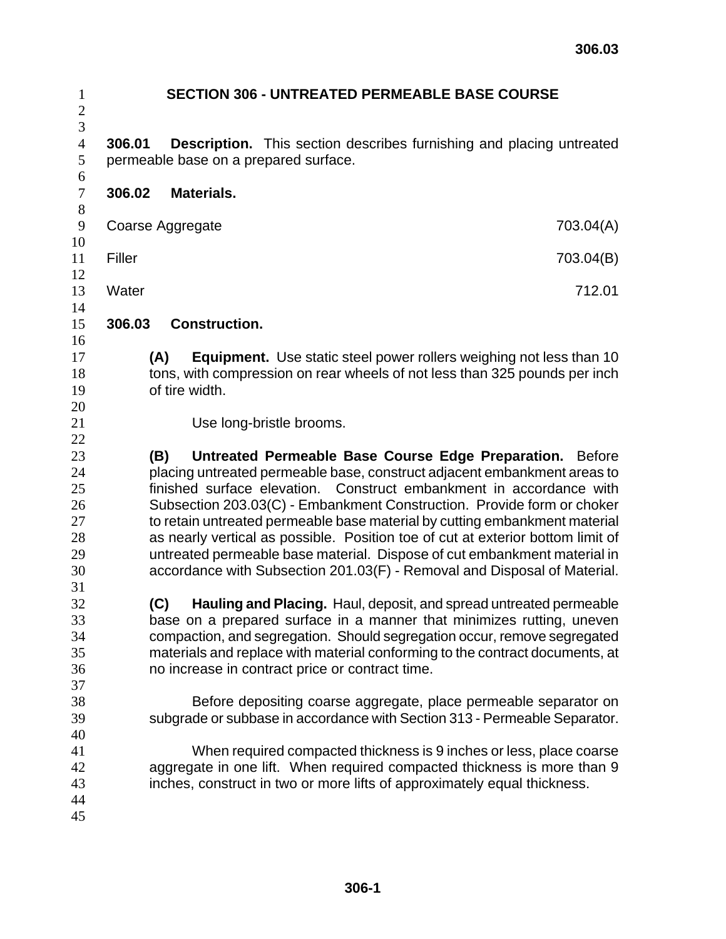|                                                                                                                                               | <b>SECTION 306 - UNTREATED PERMEABLE BASE COURSE</b>                                                                                                                                                                                                                                                                                                                                                                                                                                                                                                      |                                                                            |
|-----------------------------------------------------------------------------------------------------------------------------------------------|-----------------------------------------------------------------------------------------------------------------------------------------------------------------------------------------------------------------------------------------------------------------------------------------------------------------------------------------------------------------------------------------------------------------------------------------------------------------------------------------------------------------------------------------------------------|----------------------------------------------------------------------------|
| 306.01                                                                                                                                        | <b>Description.</b> This section describes furnishing and placing untreated<br>permeable base on a prepared surface.                                                                                                                                                                                                                                                                                                                                                                                                                                      |                                                                            |
| 306.02                                                                                                                                        | Materials.                                                                                                                                                                                                                                                                                                                                                                                                                                                                                                                                                |                                                                            |
|                                                                                                                                               | Coarse Aggregate                                                                                                                                                                                                                                                                                                                                                                                                                                                                                                                                          | 703.04(A)                                                                  |
| Filler                                                                                                                                        |                                                                                                                                                                                                                                                                                                                                                                                                                                                                                                                                                           | 703.04(B)                                                                  |
| Water                                                                                                                                         |                                                                                                                                                                                                                                                                                                                                                                                                                                                                                                                                                           | 712.01                                                                     |
| 306.03                                                                                                                                        | <b>Construction.</b>                                                                                                                                                                                                                                                                                                                                                                                                                                                                                                                                      |                                                                            |
|                                                                                                                                               | (A)<br>tons, with compression on rear wheels of not less than 325 pounds per inch<br>of tire width.                                                                                                                                                                                                                                                                                                                                                                                                                                                       | <b>Equipment.</b> Use static steel power rollers weighing not less than 10 |
|                                                                                                                                               | Use long-bristle brooms.                                                                                                                                                                                                                                                                                                                                                                                                                                                                                                                                  |                                                                            |
|                                                                                                                                               | (B)<br>placing untreated permeable base, construct adjacent embankment areas to<br>finished surface elevation. Construct embankment in accordance with<br>Subsection 203.03(C) - Embankment Construction. Provide form or choker<br>to retain untreated permeable base material by cutting embankment material<br>as nearly vertical as possible. Position toe of cut at exterior bottom limit of<br>untreated permeable base material. Dispose of cut embankment material in<br>accordance with Subsection 201.03(F) - Removal and Disposal of Material. | Untreated Permeable Base Course Edge Preparation. Before                   |
|                                                                                                                                               | (C)<br>base on a prepared surface in a manner that minimizes rutting, uneven<br>compaction, and segregation. Should segregation occur, remove segregated<br>materials and replace with material conforming to the contract documents, at<br>no increase in contract price or contract time.                                                                                                                                                                                                                                                               | Hauling and Placing. Haul, deposit, and spread untreated permeable         |
| Before depositing coarse aggregate, place permeable separator on<br>subgrade or subbase in accordance with Section 313 - Permeable Separator. |                                                                                                                                                                                                                                                                                                                                                                                                                                                                                                                                                           |                                                                            |
|                                                                                                                                               | aggregate in one lift. When required compacted thickness is more than 9                                                                                                                                                                                                                                                                                                                                                                                                                                                                                   | When required compacted thickness is 9 inches or less, place coarse        |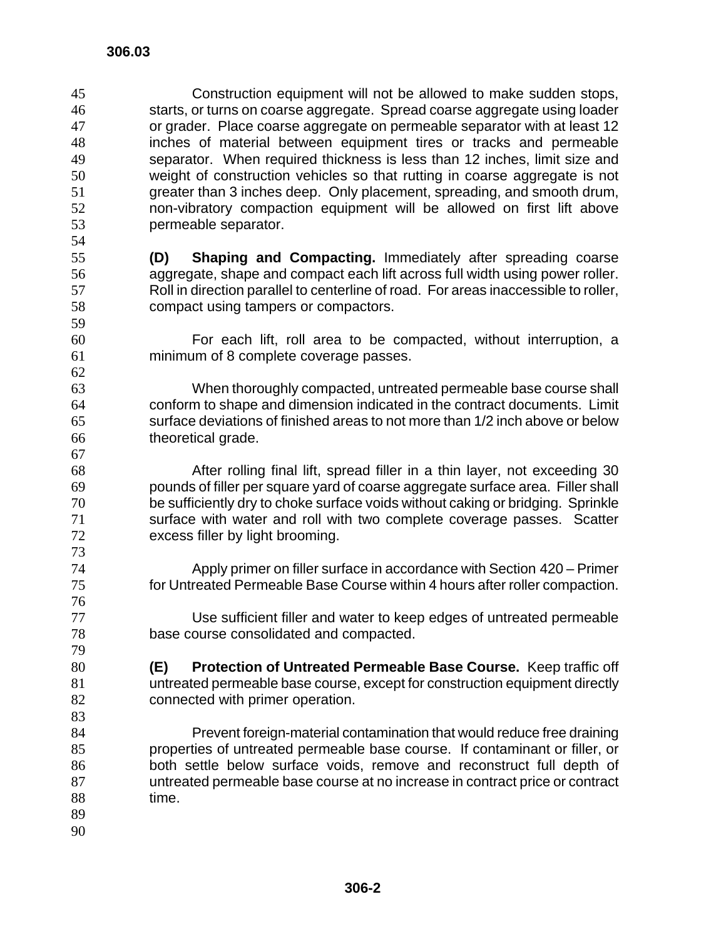- Construction equipment will not be allowed to make sudden stops, starts, or turns on coarse aggregate. Spread coarse aggregate using loader or grader. Place coarse aggregate on permeable separator with at least 12 inches of material between equipment tires or tracks and permeable separator. When required thickness is less than 12 inches, limit size and weight of construction vehicles so that rutting in coarse aggregate is not greater than 3 inches deep. Only placement, spreading, and smooth drum, non-vibratory compaction equipment will be allowed on first lift above permeable separator.
- **(D) Shaping and Compacting.** Immediately after spreading coarse aggregate, shape and compact each lift across full width using power roller. Roll in direction parallel to centerline of road. For areas inaccessible to roller, compact using tampers or compactors.
- For each lift, roll area to be compacted, without interruption, a minimum of 8 complete coverage passes.

When thoroughly compacted, untreated permeable base course shall conform to shape and dimension indicated in the contract documents. Limit surface deviations of finished areas to not more than 1/2 inch above or below theoretical grade.

After rolling final lift, spread filler in a thin layer, not exceeding 30 pounds of filler per square yard of coarse aggregate surface area. Filler shall be sufficiently dry to choke surface voids without caking or bridging. Sprinkle surface with water and roll with two complete coverage passes. Scatter excess filler by light brooming.

Apply primer on filler surface in accordance with Section 420 – Primer for Untreated Permeable Base Course within 4 hours after roller compaction.

Use sufficient filler and water to keep edges of untreated permeable base course consolidated and compacted.

**(E) Protection of Untreated Permeable Base Course.** Keep traffic off untreated permeable base course, except for construction equipment directly 82 connected with primer operation.

Prevent foreign-material contamination that would reduce free draining properties of untreated permeable base course. If contaminant or filler, or both settle below surface voids, remove and reconstruct full depth of untreated permeable base course at no increase in contract price or contract time.

 

 **306-2**